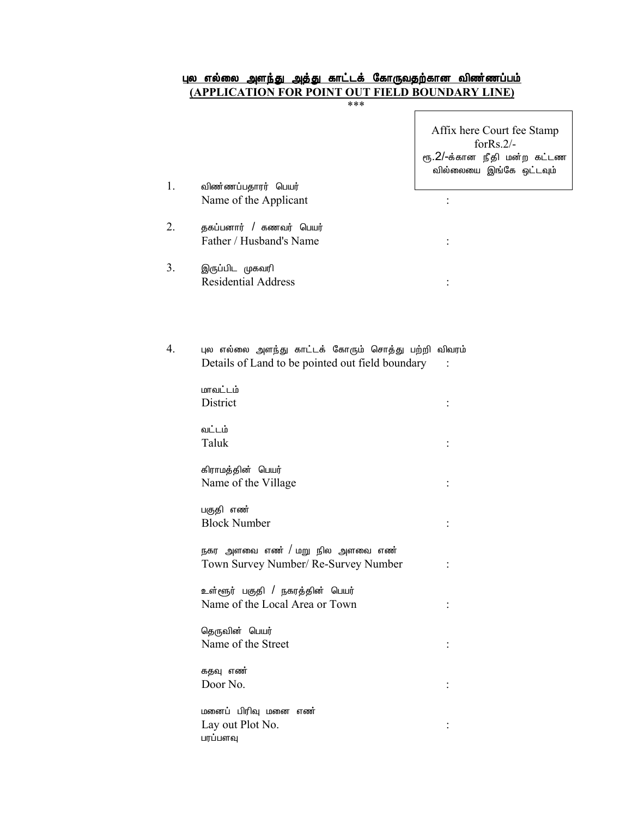## <u>புல எல்லை அளந்து அத்து காட்டக் கோருவதற்கான விண்ணப்பம்</u><br><u>(APPLICATION FOR POINT OUT FIELD BOUNDARY LINE)</u>

|    |                                                                                                         | Affix here Court fee Stamp<br>for $Rs.2/-$<br>ரூ.2/-க்கான நீதி மன்ற கட்டண<br>வில்லையை இங்கே ஒட்டவும் |
|----|---------------------------------------------------------------------------------------------------------|------------------------------------------------------------------------------------------------------|
| 1. | விண்ணப்பதாரர் பெயர்<br>Name of the Applicant                                                            |                                                                                                      |
| 2. | தகப்பனார் / கணவர் பெயர்<br>Father / Husband's Name                                                      |                                                                                                      |
| 3. | இருப்பிட முகவரி<br><b>Residential Address</b>                                                           |                                                                                                      |
|    |                                                                                                         |                                                                                                      |
| 4. | புல எல்லை அளந்து காட்டக் கோரும் சொத்து பற்றி விவரம்<br>Details of Land to be pointed out field boundary |                                                                                                      |
|    | மாவட்டம்<br>District                                                                                    |                                                                                                      |
|    | வட்டம்<br>Taluk                                                                                         |                                                                                                      |
|    | கிராமத்தின் பெயர்<br>Name of the Village                                                                |                                                                                                      |
|    | பகுதி எண்<br><b>Block Number</b>                                                                        |                                                                                                      |
|    | நகர அளவை எண் / மறு நில அளவை எண்<br>Town Survey Number/ Re-Survey Number                                 |                                                                                                      |
|    | உள்ளூர் பகுதி / நகரத்தின் பெயர்<br>Name of the Local Area or Town                                       |                                                                                                      |
|    | தெருவின் பெயர்<br>Name of the Street                                                                    |                                                                                                      |
|    | கதவு எண்<br>Door No.                                                                                    |                                                                                                      |
|    | மனைப் பிரிவு மனை எண்<br>Lay out Plot No.<br>பரப்பளவு                                                    |                                                                                                      |